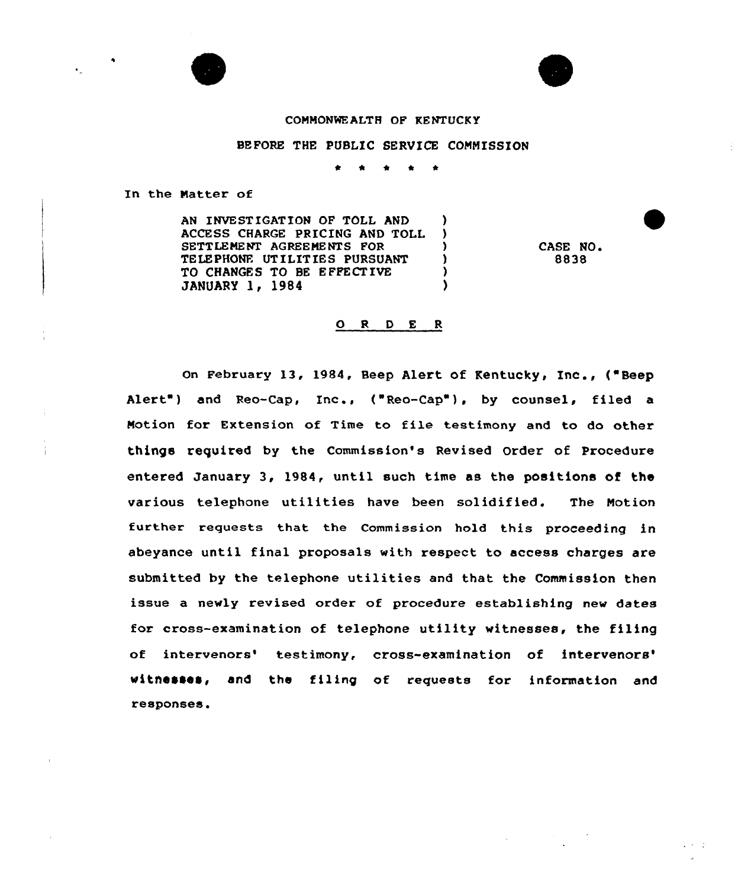



## COMMONWEALTH OF KENTUCKY

## BEFORE THE PUBLIC SERVICE COMMISSION

t \* <sup>4</sup> \* \*

In the Natter of

AN INVESTIGATION OF TOLL AND ACCESS CHARGE PRICING AND TOLL )<br>SETTLEMENT AGREEMENTS FOR SETTLEMENT AGREEMENTS FOR  $)$ <br>TELEPHONE UTILITIES PURSUANT ) TELEPHONE UTILITIES PURSUANT )<br>TO CHANGES TO BE EFFECTIVE ) TO CHANGES TO BE EFFECTIVE (3) JANUARY 1, 1984

CASE NO. 8838

 $2.3 - 2.$ 

## ORDER

On February 13, 1984, Beep Alert of Kentucky, Inc., ("Beep Alert") and Reo-Cap, Inc., ("Reo-Cap"), by counsel, filed a Notion for Extension of Time to file testimony and to do other things required by the Commission's Revised Order of Procedure entered January 3, 1984, until such time as the positions of the various telephone utilities have been solidified. The Notion further requests that the Commission hold this proceeding in abeyance until final proposals with respect to access charges are submitted by the telephone utilities and that the Commission then issue a newly revised order of procedure establishing new dates for cross-examination of telephone utility witnesses, the filing of intervenors' testimony, cross-examination of intervenors' witnesses, and the filing of requests for information and responses.